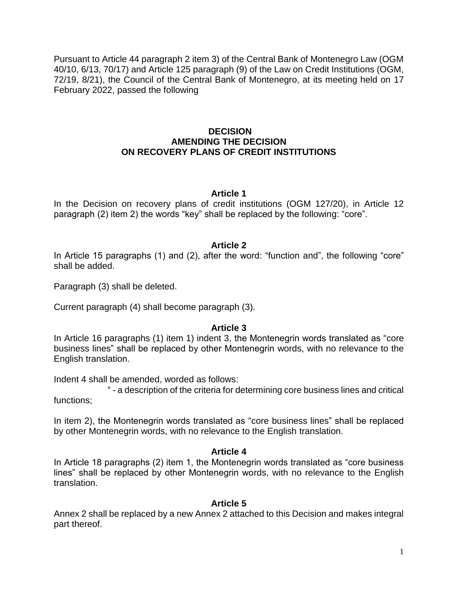Pursuant to Article 44 paragraph 2 item 3) of the Central Bank of Montenegro Law (OGM 40/10, 6/13, 70/17) and Article 125 paragraph (9) of the Law on Credit Institutions (OGM, 72/19, 8/21), the Council of the Central Bank of Montenegro, at its meeting held on 17 February 2022, passed the following

### **DECISION AMENDING THE DECISION ON RECOVERY PLANS OF CREDIT INSTITUTIONS**

#### **Article 1**

In the Decision on recovery plans of credit institutions (OGM 127/20), in Article 12 paragraph (2) item 2) the words "key" shall be replaced by the following: "core".

#### **Article 2**

In Article 15 paragraphs (1) and (2), after the word: "function and", the following "core" shall be added.

Paragraph (3) shall be deleted.

Current paragraph (4) shall become paragraph (3).

#### **Article 3**

In Article 16 paragraphs (1) item 1) indent 3, the Montenegrin words translated as "core business lines" shall be replaced by other Montenegrin words, with no relevance to the English translation.

Indent 4 shall be amended, worded as follows:

" - a description of the criteria for determining core business lines and critical functions;

In item 2), the Montenegrin words translated as "core business lines" shall be replaced by other Montenegrin words, with no relevance to the English translation.

### **Article 4**

In Article 18 paragraphs (2) item 1, the Montenegrin words translated as "core business lines" shall be replaced by other Montenegrin words, with no relevance to the English translation.

### **Article 5**

Annex 2 shall be replaced by a new Annex 2 attached to this Decision and makes integral part thereof.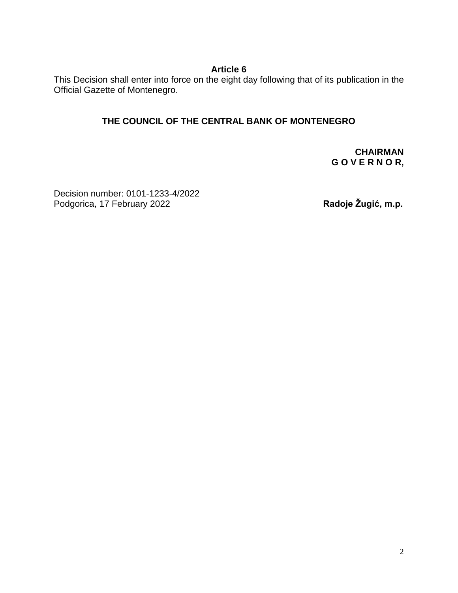## **Article 6**

This Decision shall enter into force on the eight day following that of its publication in the Official Gazette of Montenegro.

# **THE COUNCIL OF THE CENTRAL BANK OF MONTENEGRO**

**CHAIRMAN G O V E R N O R,**

Decision number: 0101-1233-4/2022 Podgorica, 17 February 2022 **Radoje Žugić, m.p.**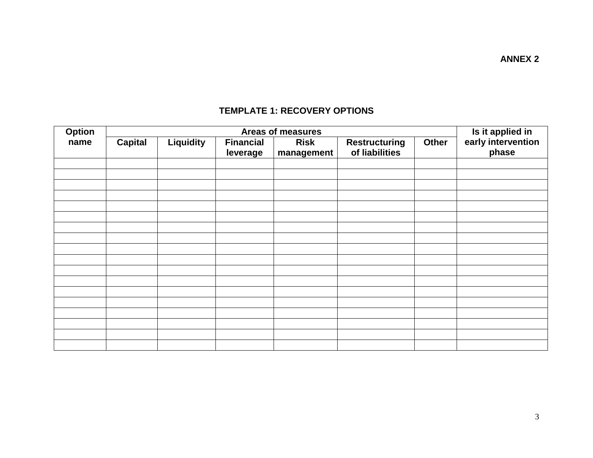| Option<br>name |                | Is it applied in |                              |                                                |                                        |              |                             |  |
|----------------|----------------|------------------|------------------------------|------------------------------------------------|----------------------------------------|--------------|-----------------------------|--|
|                | <b>Capital</b> | Liquidity        | <b>Financial</b><br>leverage | Areas of measures<br><b>Risk</b><br>management | <b>Restructuring</b><br>of liabilities | <b>Other</b> | early intervention<br>phase |  |
|                |                |                  |                              |                                                |                                        |              |                             |  |
|                |                |                  |                              |                                                |                                        |              |                             |  |
|                |                |                  |                              |                                                |                                        |              |                             |  |
|                |                |                  |                              |                                                |                                        |              |                             |  |
|                |                |                  |                              |                                                |                                        |              |                             |  |
|                |                |                  |                              |                                                |                                        |              |                             |  |
|                |                |                  |                              |                                                |                                        |              |                             |  |
|                |                |                  |                              |                                                |                                        |              |                             |  |
|                |                |                  |                              |                                                |                                        |              |                             |  |
|                |                |                  |                              |                                                |                                        |              |                             |  |
|                |                |                  |                              |                                                |                                        |              |                             |  |
|                |                |                  |                              |                                                |                                        |              |                             |  |
|                |                |                  |                              |                                                |                                        |              |                             |  |
|                |                |                  |                              |                                                |                                        |              |                             |  |
|                |                |                  |                              |                                                |                                        |              |                             |  |
|                |                |                  |                              |                                                |                                        |              |                             |  |
|                |                |                  |                              |                                                |                                        |              |                             |  |
|                |                |                  |                              |                                                |                                        |              |                             |  |

## **TEMPLATE 1: RECOVERY OPTIONS**